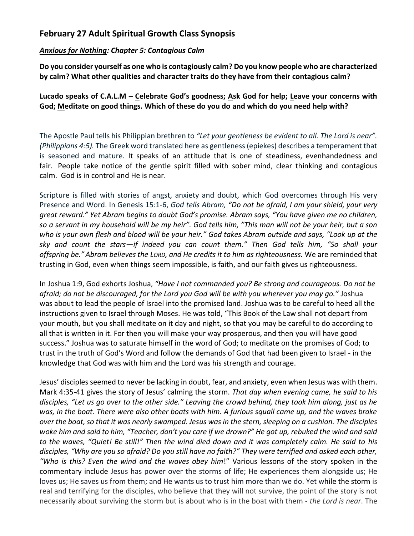## **February 27 Adult Spiritual Growth Class Synopsis**

## *Anxious for Nothing: Chapter 5: Contagious Calm*

**Do you consider yourself as one who is contagiously calm? Do you know people who are characterized by calm? What other qualities and character traits do they have from their contagious calm?**

**Lucado speaks of C.A.L.M – Celebrate God's goodness; Ask God for help; Leave your concerns with God; Meditate on good things. Which of these do you do and which do you need help with?**

The Apostle Paul tells his Philippian brethren to *"Let your gentleness be evident to all. The Lord is near". (Philippians 4:5).* The Greek word translated here as gentleness (epiekes) describes a temperament that is seasoned and mature. It speaks of an attitude that is one of steadiness, evenhandedness and fair. People take notice of the gentle spirit filled with sober mind, clear thinking and contagious calm. God is in control and He is near.

Scripture is filled with stories of angst, anxiety and doubt, which God overcomes through His very Presence and Word. In Genesis 15:1-6, *God tells Abram, "Do not be afraid, I am your shield, your very great reward." Yet Abram begins to doubt God's promise. Abram says, "You have given me no children, so a servant in my household will be my heir". God tells him, "This man will not be your heir, but a son who is your own flesh and blood will be your heir." God takes Abram outside and says, "Look up at the sky and count the stars—if indeed you can count them." Then God tells him, "So shall your offspring be." Abram believes the LORD, and He credits it to him as righteousness.* We are reminded that trusting in God, even when things seem impossible, is faith, and our faith gives us righteousness.

In Joshua 1:9, God exhorts Joshua, *"Have I not commanded you? Be strong and courageous. Do not be afraid; do not be discouraged, for the Lord you God will be with you wherever you may go."* Joshua was about to lead the people of Israel into the promised land. Joshua was to be careful to heed all the instructions given to Israel through Moses. He was told, "This Book of the Law shall not depart from your mouth, but you shall meditate on it day and night, so that you may be careful to do according to all that is written in it. For then you will make your way prosperous, and then you will have good success." Joshua was to saturate himself in the word of God; to meditate on the promises of God; to trust in the truth of God's Word and follow the demands of God that had been given to Israel - in the knowledge that God was with him and the Lord was his strength and courage.

Jesus' disciples seemed to never be lacking in doubt, fear, and anxiety, even when Jesus was with them. Mark 4:35-41 gives the story of Jesus' calming the storm. *That day when evening came, he said to his disciples, "Let us go over to the other side." Leaving the crowd behind, they took him along, just as he was, in the boat. There were also other boats with him. A furious squall came up, and the waves broke over the boat, so that it was nearly swamped. Jesus was in the stern, sleeping on a cushion. The disciples woke him and said to him, "Teacher, don't you care if we drown?" He got up, rebuked the wind and said*  to the waves, "Quiet! Be still!" Then the wind died down and it was completely calm. He said to his *disciples, "Why are you so afraid? Do you still have no faith?" They were terrified and asked each other, "Who is this? Even the wind and the waves obey him*!" Various lessons of the story spoken in the commentary include Jesus has power over the storms of life; He experiences them alongside us; He loves us; He saves us from them; and He wants us to trust him more than we do. Yet while the storm is real and terrifying for the disciples, who believe that they will not survive, the point of the story is not necessarily about surviving the storm but is about who is in the boat with them - *the Lord is near*. The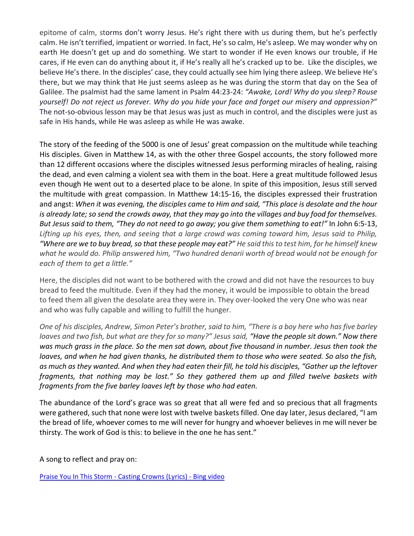epitome of calm, storms don't worry Jesus. He's right there with us during them, but he's perfectly calm. He isn't terrified, impatient or worried. In fact, He's so calm, He's asleep. We may wonder why on earth He doesn't get up and do something. We start to wonder if He even knows our trouble, if He cares, if He even can do anything about it, if He's really all he's cracked up to be. Like the disciples, we believe He's there. In the disciples' case, they could actually see him lying there asleep. We believe He's there, but we may think that He just seems asleep as he was during the storm that day on the Sea of Galilee. The psalmist had the same lament in Psalm 44:23-24: *"Awake, Lord! Why do you sleep? Rouse yourself! Do not reject us forever. Why do you hide your face and forget our misery and oppression?"* The not-so-obvious lesson may be that Jesus was just as much in control, and the disciples were just as safe in His hands, while He was asleep as while He was awake.

The story of the feeding of the 5000 is one of Jesus' great compassion on the multitude while teaching His disciples. Given in Matthew 14, as with the other three Gospel accounts, the story followed more than 12 different occasions where the disciples witnessed Jesus performing miracles of healing, raising the dead, and even calming a violent sea with them in the boat. Here a great multitude followed Jesus even though He went out to a deserted place to be alone. In spite of this imposition, Jesus still served the multitude with great compassion. In Matthew 14:15-16, the disciples expressed their frustration and angst: *When it was evening, the disciples came to Him and said, "This place is desolate and the hour is already late; so send the crowds away, that they may go into the villages and buy food for themselves. But Jesus said to them, "They do not need to go away; you give them something to eat!"* In John 6:5-13, *Lifting up his eyes, then, and seeing that a large crowd was coming toward him, Jesus said to Philip, "Where are we to buy bread, so that these people may eat?" He said this to test him, for he himself knew what he would do. Philip answered him, "Two hundred denarii worth of bread would not be enough for each of them to get a little."*

Here, the disciples did not want to be bothered with the crowd and did not have the resources to buy bread to feed the multitude. Even if they had the money, it would be impossible to obtain the bread to feed them all given the desolate area they were in. They over-looked the very One who was near and who was fully capable and willing to fulfill the hunger.

*One of his disciples, Andrew, Simon Peter's brother, said to him, "There is a boy here who has five barley loaves and two fish, but what are they for so many?" Jesus said, "Have the people sit down." Now there was much grass in the place. So the men sat down, about five thousand in number. Jesus then took the loaves, and when he had given thanks, he distributed them to those who were seated. So also the fish, as much as they wanted. And when they had eaten their fill, he told his disciples, "Gather up the leftover fragments, that nothing may be lost." So they gathered them up and filled twelve baskets with fragments from the five barley loaves left by those who had eaten.*

The abundance of the Lord's grace was so great that all were fed and so precious that all fragments were gathered, such that none were lost with twelve baskets filled. One day later, Jesus declared, "I am the bread of life, whoever comes to me will never for hungry and whoever believes in me will never be thirsty. The work of God is this: to believe in the one he has sent."

A song to reflect and pray on:

[Praise You In This Storm -](https://www.bing.com/videos/search?q=praise+you+ion+teh+storm&&view=detail&mid=D3C17025AF223622626ED3C17025AF223622626E&&FORM=VRDGAR&ru=%2Fvideos%2Fsearch%3Fq%3Dpraise%2Byou%2Bion%2Bteh%2Bstorm%26qs%3Dn%26form%3DQBVDMH%26sp%3D-1%26pq%3Dpraise%2Byou%2Bion%2Bteh%2Bstorm%26sc%3D8-24%26sk%3D%26cvid%3DC515EEE86EE1462AAD44DC6B9E813051) Casting Crowns (Lyrics) - Bing video